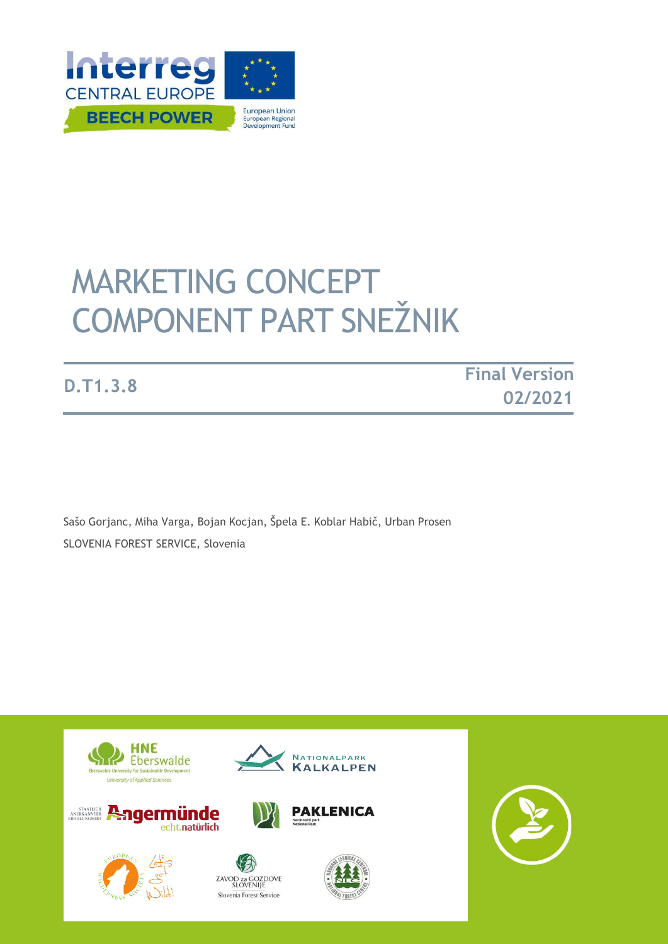

# MARKETING CONCEPT COMPONENT PART SNEŽNIK

**D.T1.3.8 Final Version 02/2021**

Sašo Gorjanc, Miha Varga, Bojan Kocjan, Špela E. Koblar Habič, Urban Prosen SLOVENIA FOREST SERVICE, Slovenia

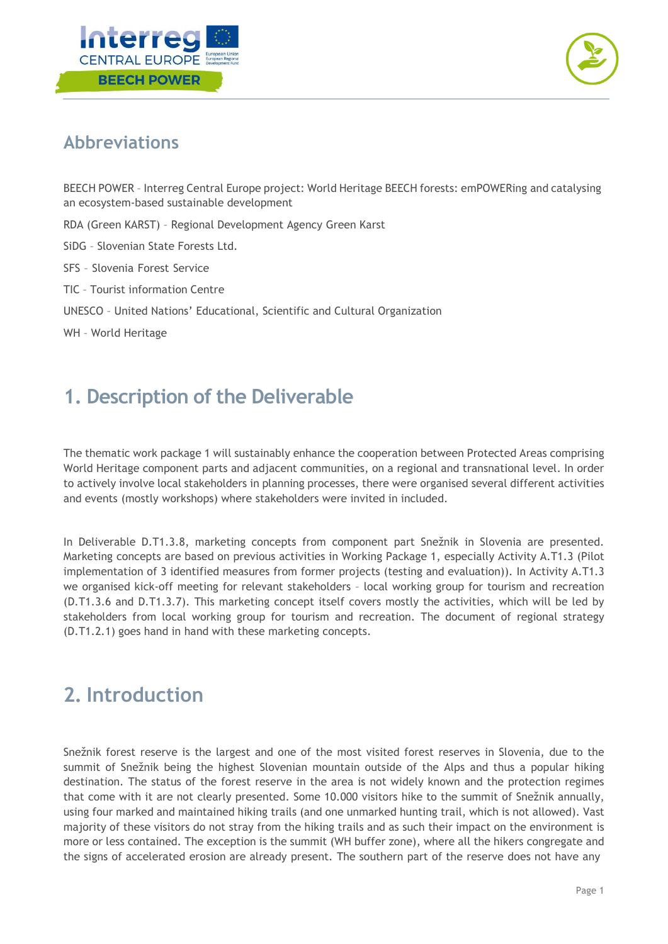



#### **Abbreviations**

BEECH POWER – Interreg Central Europe project: World Heritage BEECH forests: emPOWERing and catalysing an ecosystem-based sustainable development

- RDA (Green KARST) Regional Development Agency Green Karst
- SiDG Slovenian State Forests Ltd.
- SFS Slovenia Forest Service
- TIC Tourist information Centre
- UNESCO United Nations' Educational, Scientific and Cultural Organization
- WH World Heritage

#### **1. Description of the Deliverable**

The thematic work package 1 will sustainably enhance the cooperation between Protected Areas comprising World Heritage component parts and adjacent communities, on a regional and transnational level. In order to actively involve local stakeholders in planning processes, there were organised several different activities and events (mostly workshops) where stakeholders were invited in included.

In Deliverable D.T1.3.8, marketing concepts from component part Snežnik in Slovenia are presented. Marketing concepts are based on previous activities in Working Package 1, especially Activity A.T1.3 (Pilot implementation of 3 identified measures from former projects (testing and evaluation)). In Activity A.T1.3 we organised kick-off meeting for relevant stakeholders – local working group for tourism and recreation (D.T1.3.6 and D.T1.3.7). This marketing concept itself covers mostly the activities, which will be led by stakeholders from local working group for tourism and recreation. The document of regional strategy (D.T1.2.1) goes hand in hand with these marketing concepts.

## **2. Introduction**

Snežnik forest reserve is the largest and one of the most visited forest reserves in Slovenia, due to the summit of Snežnik being the highest Slovenian mountain outside of the Alps and thus a popular hiking destination. The status of the forest reserve in the area is not widely known and the protection regimes that come with it are not clearly presented. Some 10.000 visitors hike to the summit of Snežnik annually, using four marked and maintained hiking trails (and one unmarked hunting trail, which is not allowed). Vast majority of these visitors do not stray from the hiking trails and as such their impact on the environment is more or less contained. The exception is the summit (WH buffer zone), where all the hikers congregate and the signs of accelerated erosion are already present. The southern part of the reserve does not have any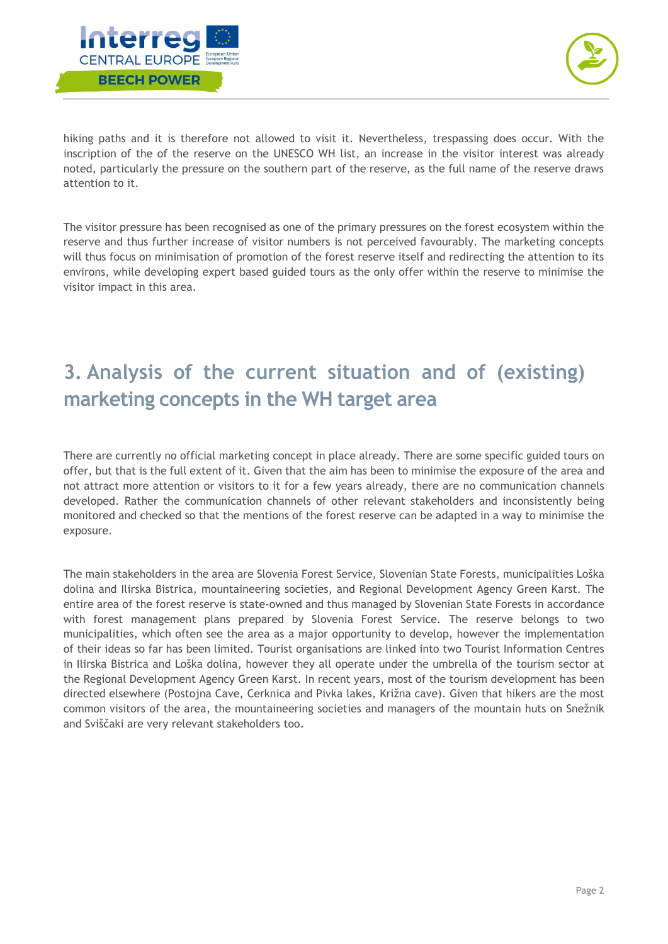



hiking paths and it is therefore not allowed to visit it. Nevertheless, trespassing does occur. With the inscription of the of the reserve on the UNESCO WH list, an increase in the visitor interest was already noted, particularly the pressure on the southern part of the reserve, as the full name of the reserve draws attention to it.

The visitor pressure has been recognised as one of the primary pressures on the forest ecosystem within the reserve and thus further increase of visitor numbers is not perceived favourably. The marketing concepts will thus focus on minimisation of promotion of the forest reserve itself and redirecting the attention to its environs, while developing expert based guided tours as the only offer within the reserve to minimise the visitor impact in this area.

## **3. Analysis of the current situation and of (existing) marketing concepts in the WH target area**

There are currently no official marketing concept in place already. There are some specific guided tours on offer, but that is the full extent of it. Given that the aim has been to minimise the exposure of the area and not attract more attention or visitors to it for a few years already, there are no communication channels developed. Rather the communication channels of other relevant stakeholders and inconsistently being monitored and checked so that the mentions of the forest reserve can be adapted in a way to minimise the exposure.

The main stakeholders in the area are Slovenia Forest Service, Slovenian State Forests, municipalities Loška dolina and Ilirska Bistrica, mountaineering societies, and Regional Development Agency Green Karst. The entire area of the forest reserve is state-owned and thus managed by Slovenian State Forests in accordance with forest management plans prepared by Slovenia Forest Service. The reserve belongs to two municipalities, which often see the area as a major opportunity to develop, however the implementation of their ideas so far has been limited. Tourist organisations are linked into two Tourist Information Centres in Ilirska Bistrica and Loška dolina, however they all operate under the umbrella of the tourism sector at the Regional Development Agency Green Karst. In recent years, most of the tourism development has been directed elsewhere (Postojna Cave, Cerknica and Pivka lakes, Križna cave). Given that hikers are the most common visitors of the area, the mountaineering societies and managers of the mountain huts on Snežnik and Sviščaki are very relevant stakeholders too.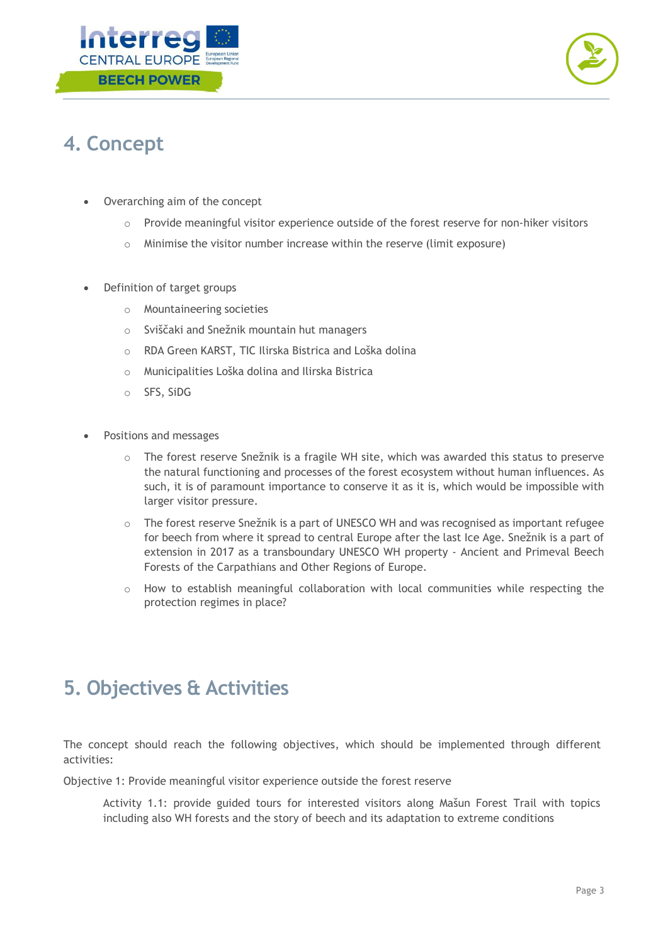



## **4. Concept**

- Overarching aim of the concept
	- $\circ$  Provide meaningful visitor experience outside of the forest reserve for non-hiker visitors
	- $\circ$  Minimise the visitor number increase within the reserve (limit exposure)
- Definition of target groups
	- o Mountaineering societies
	- o Sviščaki and Snežnik mountain hut managers
	- o RDA Green KARST, TIC Ilirska Bistrica and Loška dolina
	- o Municipalities Loška dolina and Ilirska Bistrica
	- o SFS, SiDG
- Positions and messages
	- o The forest reserve Snežnik is a fragile WH site, which was awarded this status to preserve the natural functioning and processes of the forest ecosystem without human influences. As such, it is of paramount importance to conserve it as it is, which would be impossible with larger visitor pressure.
	- o The forest reserve Snežnik is a part of UNESCO WH and was recognised as important refugee for beech from where it spread to central Europe after the last Ice Age. Snežnik is a part of extension in 2017 as a transboundary UNESCO WH property - Ancient and Primeval Beech Forests of the Carpathians and Other Regions of Europe.
	- o How to establish meaningful collaboration with local communities while respecting the protection regimes in place?

#### **5. Objectives & Activities**

The concept should reach the following objectives, which should be implemented through different activities:

Objective 1: Provide meaningful visitor experience outside the forest reserve

Activity 1.1: provide guided tours for interested visitors along Mašun Forest Trail with topics including also WH forests and the story of beech and its adaptation to extreme conditions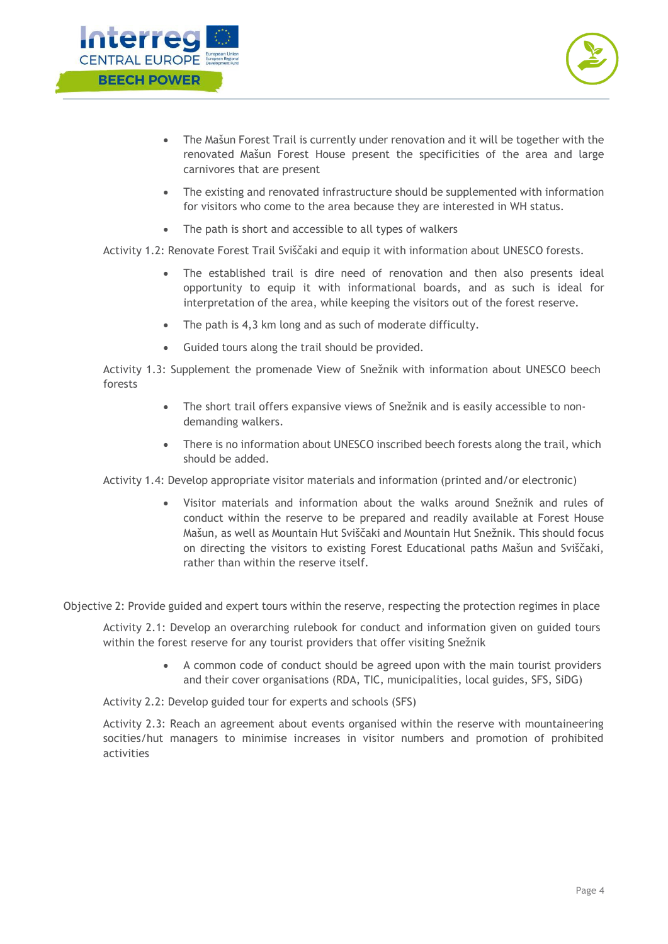



- The Mašun Forest Trail is currently under renovation and it will be together with the renovated Mašun Forest House present the specificities of the area and large carnivores that are present
- The existing and renovated infrastructure should be supplemented with information for visitors who come to the area because they are interested in WH status.
- The path is short and accessible to all types of walkers

Activity 1.2: Renovate Forest Trail Sviščaki and equip it with information about UNESCO forests.

- The established trail is dire need of renovation and then also presents ideal opportunity to equip it with informational boards, and as such is ideal for interpretation of the area, while keeping the visitors out of the forest reserve.
- The path is 4,3 km long and as such of moderate difficulty.
- Guided tours along the trail should be provided.

Activity 1.3: Supplement the promenade View of Snežnik with information about UNESCO beech forests

- The short trail offers expansive views of Snežnik and is easily accessible to nondemanding walkers.
- There is no information about UNESCO inscribed beech forests along the trail, which should be added.

Activity 1.4: Develop appropriate visitor materials and information (printed and/or electronic)

• Visitor materials and information about the walks around Snežnik and rules of conduct within the reserve to be prepared and readily available at Forest House Mašun, as well as Mountain Hut Sviščaki and Mountain Hut Snežnik. This should focus on directing the visitors to existing Forest Educational paths Mašun and Sviščaki, rather than within the reserve itself.

Objective 2: Provide guided and expert tours within the reserve, respecting the protection regimes in place

Activity 2.1: Develop an overarching rulebook for conduct and information given on guided tours within the forest reserve for any tourist providers that offer visiting Snežnik

> • A common code of conduct should be agreed upon with the main tourist providers and their cover organisations (RDA, TIC, municipalities, local guides, SFS, SiDG)

Activity 2.2: Develop guided tour for experts and schools (SFS)

Activity 2.3: Reach an agreement about events organised within the reserve with mountaineering socities/hut managers to minimise increases in visitor numbers and promotion of prohibited activities